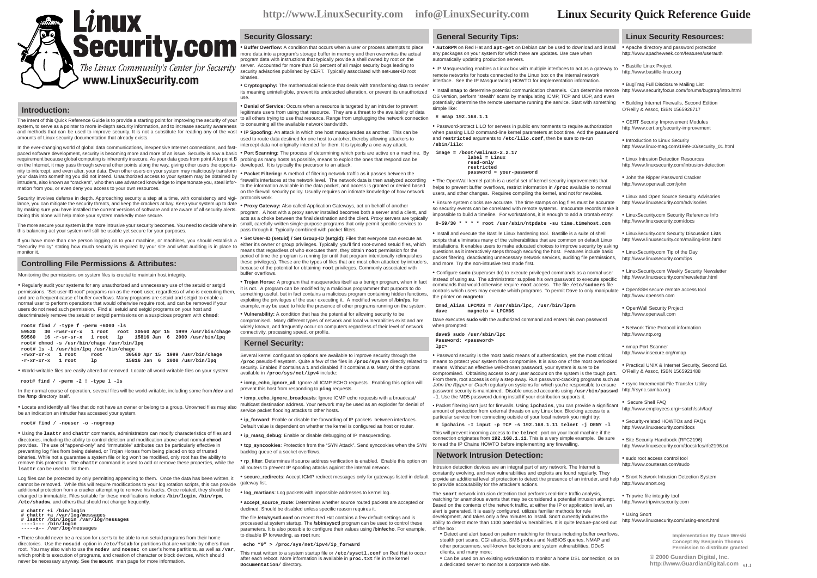**http://www.LinuxSecurity.com info@LinuxSecurity.com**

# **A** Security.com **Security Glossary:**

• **Buffer Overflow:** A condition that occurs when a user or process attempts to place more data into a program's storage buffer in memory and then overwrites the actual program data with instructions that typically provide a shell owned by root on the server. Accounted for more than 50 percent of all major security bugs leading to security advisories published by CERT. Typically associated with set-user-ID root binaries.

its meaning unintelligible, prevent its undetected alteration, or prevent its unauthorized . Install man to determine potential communication channels. Can determine remote http://www.securityfocus.com/forums/bugtraq/intro • **Cryptography:** The mathematical science that deals with transforming data to render use.

system, to serve as a pointer to more in-depth security information, and to increase security awareness to consuming all the available network bandwidth. • **Denial of Service:** Occurs when a resource is targeted by an intruder to prevent legitimate users from using that resource. They are a threat to the availability of data to all others trying to use that resource. Range from unplugging the network connection

and methods that can be used to improve security. It is not a substitute for reading any of the vast . IP Spoofing: An attack in which one host masquerades as another. This can be used to route data destined for one host to antoher, thereby allowing attackers to intercept data not originally intended for them. It is typically a one-way attack.

paced software development, security is becoming more and more of an issue. Security is now a basic · Port Scanning: The process of determining which ports are active on a machine. By requirement because global computing is inherently insecure. As your data goes from point A to point B probing as many hosts as possible, means to exploit the ones that respond can be on the Internet, it may pass through several other points along the way, giving other users the opportu-developed. It is typically the precursor to an attack.

nity to intercept, and even alter, your data. Even other users on your system may maliciously transform<br>usur data\_inter on making users on your system may may have been on the **about of the system of the system** of the sys

firewall's interfaces at the network level. The network data is then analyzed according • The OpenWall kernel patch is a useful set of kernel security improvements that Security involves defense in depth. Approaching security a step at a time, with consistency and vigi-protocols work. to the information available in the data packet, and access is granted or denied based on the firewall security policy. Usually requires an intimate knowledge of how network

lance, you can mitigate the security threats, and keep the crackers at bay. Keep your system up to date . **Proxy Gateway:** Also called Application Gateways, act on behalf of another by making sure you have installed the current versions of software and are aware of all security alerts.

program. A host with a proxy server installed becomes both a server and a client, and acts as a choke between the final destination and the client. Proxy servers are typically small, carefully-written single-purpose programs that only permit specific services to pass through it. Typically combined with packet filters.

these privileges). These are the types of files that are most often attacked by intruders, and more. Try the non-intrusive test mode first. If you have more than one person logging on to your machine, or machines, you should establish a <sup>•</sup> Set User-ID (setuid) / Set Group-ID (setgid): Files that everyone can execute as "Security Policy" stating how much security is required by your site and what auditing is in place to either it's owner or group privileges. Typically, you'll find root-owned setuid files, which means that regardless of who executes them, they obtain **root** permission for the period of time the program is running (or until that program intentionally relinquishes because of the potential for obtaining **root** privileges. Commonly associated with buffer overflows.

> • **Trojan Horse:** A program that masquerades itself as a benign program, when in fact it is not. A program can be modified by a malicious programmer that purports to do something useful, but in fact contains a malicious program containing hidden functions, exploiting the privileges of the user executing it. A modified version of **/bin/ps**, for example, may be used to hide the presence of other programs running on the system.

• **Vulnerability:** A condition that has the potential for allowing security to be compromised. Many different types of network and local vulnerabilities exist and are

widely known, and frequently occur on computers regardless of their level of network connectivity, processing speed, or profile.

### **Kernel Security:**

Several kernel configuration options are available to improve security through the **/proc** pseudo-filesystem. Quite a few of the files in **/proc/sys** are directly related to security. Enabled if contains a **1** and disabled if it contains a **0**. Many of the options available in **/proc/sys/net/ipv4** include:

• **icmp\_echo\_ignore\_all**: Ignore all ICMP ECHO requests. Enabling this option will prevent this host from responding to **ping** requests.

• **icmp\_echo\_ignore\_broadcasts**: Ignore ICMP echo requests with a broadcast/ multicast destination address. Your network may be used as an exploder for denial of service packet flooding attacks to other hosts.

• ip forward: Enable or disable the forwarding of IP packets between interfaces. Default value is dependent on whether the kernel is configured as host or router.

• **ip\_masq\_debug**: Enable or disable debugging of IP masquerading.

• **tcp\_syncookies**: Protection from the "SYN Attack". Send syncookies when the SYN backlog queue of a socket overflows.

• **rp\_filter**: Determines if source address verification is enabled. Enable this option on all routers to prevent IP spoofing attacks against the internal network.

• **secure\_redirects**: Accept ICMP redirect messages only for gateways listed in default

• **log\_martians**: Log packets with impossible addresses to kernel log.

• **accept\_source\_route**: Determines whether source routed packets are accepted or declined. Should be disabled unless specific reason requires it.

The file **/etc/sysctl.conf** on recent Red Hat contains a few default settings and is processed at system startup. The **/sbin/sysctl** program can be used to control these parameters. It is also possible to configure their values using **/bin/echo**. For example, to disable IP forwarding, as **root** run:

 **echo "0" > /proc/sys/net/ipv4/ip\_forward**

This must written to a system startup file or **/etc/sysctl.conf** on Red Hat to occur after each reboot. More information is available in **proc.txt** file in the kernel **Documentation/** directory.

### **General Security Tips:**

• **AutoRPM** on Red Hat and **apt-get** on Debian can be used to download and install any packages on your system for which there are updates. Use care when automatically updating production servers.

• IP Masquerading enables a Linux box with multiple interfaces to act as a gateway to remote networks for hosts connected to the Linux box on the internal network interface. See the IP Masquerading HOWTO for implementation information.

OS version, perform "stealth" scans by manipulating ICMP, TCP and UDP, and even potentially determine the remote username running the service. Start with something simple like:

**# nmap 192.168.1.1**

• Password-protect LILO for servers in public environments to require authorization when passing LILO command-line kernel parameters at boot time. Add the **password** and **restricted** arguments to **/etc/lilo.conf**, then be sure to re-run **/sbin/lilo**:

 **image = /boot/vmlinuz-2.2.17 label = Linux read-only restricted password = your-password**

helps to prevent buffer overflows, restrict information in **/proc** available to normal users, and other changes. Requires compiling the kernel, and not for newbies.

• Ensure system clocks are accurate. The time stamps on log files must be accurate so security events can be correlated with remote systems. Inaccurate records make it impossible to build a timeline. For workstations, it is enough to add a crontab entry:

 **0-59/30 \* \* \* \* root /usr/sbin/ntpdate -su time.timehost.com**

• Install and execute the Bastille Linux hardening tool. Bastille is a suite of shell scripts that eliminates many of the vulnerabilities that are common on default Linux installations. It enables users to make educated choices to improve security by asking questions as it interactively steps through securing the host. Features include basic packet filtering, deactivating unnecessary network services, auditing file permissions,

• Configure **sudo** (superuser do) to execute privileged commands as a normal user instead of using **su**. The administrator supplies his own password to execute specific commands that would otherwise require **root** access. The file **/etc/sudoers** file controls which users may execute which programs. To permit Dave to only manipulate the printer on **magneto**:

 **Cmnd\_Alias LPCMDS = /usr/sbin/lpc, /usr/bin/lprm dave magneto = LPCMDS**

Dave executes **sudo** with the authorized command and enters his own password when prompted

 **dave\$ sudo /usr/sbin/lpc Password: <password> lpc>**

• Password security is the most basic means of authentication, yet the most critical means to protect your system from compromise. It is also one of the most overlooked means. Without an effective well-chosen password, your system is sure to be compromised. Obtaining access to any user account on the system is the tough part. From there, root access is only a step away. Run password-cracking programs such as John the Ripper or Crack regularly on systems for which you're responsible to ensure password security is maintained. Disable unused accounts using **/usr/bin/passwd** http://rsync.samba.org **-l**. Use the MD5 password during install if your distribution supports it.

• Packet filtering isn't just for firewalls. Using **ipchains**, you can provide a significant amount of protection from external threats on any Linux box. Blocking access to a particular service from connecting outside of your local network you might try:

 **# ipchains -I input -p TCP -s 192.168.1.11 telnet -j DENY -l** This will prevent incoming access to the **telnet** port on your local machine if the connection originates from **192.168.1.11**. This is a very simple example. Be sure to read the IP Chains HOWTO before implementing any firewalling.

#### **Network Intrusion Detection:**

**brovide an additional level of protection to detect the presence of an intruder, and help • Snort Network Intrusion Detection System** Intrusion detection devices are an integral part of any network. The Internet is constantly evolving, and new vulnerabilities and exploits are found regularly. They to provide accoutability for the attacker's actions.

The **snort** network intrusion detection tool performs real-time traffic analysis, watching for anamolous events that may be considered a potential intrusion attempt. Based on the contents of the network traffic, at either the IP or application level, an alert is generated. It is easily configured, utilizes familiar methods for rule development, and takes only a few minutes to install. Snort currently includes the ability to detect more than 1100 potential vulnerabilities. It is quite feature-packed out of the box:

• Detect and alert based on pattern matching for threats including buffer overflows, stealth port scans, CGI attacks, SMB probes and NetBIOS queries, NMAP and other portscanners, well-known backdoors and system vulnerabilities, DDoS clients, and many more;

• Can be used on an existing workstation to monitor a home DSL connection, or on a dedicated server to monitor a corporate web site.

**Linux Security Resources:**

• Apache directory and password protection http://www.apacheweek.com/features/userauth

• Bastille Linux Project http://www.bastille-linux.org

• BugTraq Full Disclosure Mailing List

• Building Internet Firewalls, Second Edition O'Reilly & Assoc, ISBN 1565928717

• CERT Security Improvement Modules http://www.cert.org/security-improvement

• Introduction to Linux Security http://www.linux-mag.com/1999-10/security\_01.html

• Linux Intrusion Detection Resources http://www.linuxsecurity.com/intrusion-detection

• John the Ripper Password Cracker http://www.openwall.com/john

• Linux and Open Source Security Advisories http://www.linuxsecurity.com/advisories

• LinuxSecurity.com Security Reference Info http://www.linuxsecurity.com/docs

• LinuxSecurity.com Security Discussion Lists http://www.linuxsecurity.com/mailing-lists.html

• LinuxSecurity.com Tip of the Day http://www.linuxsecurity.com/tips

• LinuxSecurity.com Weekly Security Newsletter http://www.linuxsecurity.com/newsletter.html

• OpenSSH secure remote access tool http://www.openssh.com

• OpenWall Security Project http://www.openwall.com

• Network Time Protocol information http://www.ntp.org

• nmap Port Scanner http://www.insecure.org/nmap

• Practical UNIX & Internet Security, Second Ed. O'Reilly & Assoc, ISBN 1565921488

• rsync Incremental File Transfer Utility

• Secure Shell FAQ http://www.employees.org/~satch/ssh/faq/

• Security-related HOWTOs and FAQs http://www.linuxsecurity.com/docs

• Site Security Handbook (RFC2196) http://www.linuxsecurity.com/docs/rfcs/rfc2196.txt

• sudo root access control tool http://www.courtesan.com/sudo

http://www.snort.org

• Tripwire file integrity tool http://www.tripwiresecurity.com

• Using Snort http://www.linuxsecurity.com/using-snort.html

> **Implementation By Dave Wreski Concept By Benjamin Thomas Permission to distribute granted**

**© 2000 Guardian Digital, Inc.** http://www.GuardianDigital.com <sub>v1.1</sub>

normal user to perform operations that would otherwise require root, and can be removed if your users do not need such permission. Find all setuid and setgid programs on your host and descriminately remove the setuid or setgid permissions on a suspicious program with **chmod**:

 **59560 16 -r-sr-sr-x 1 root lp 15816 Jan 6 2000 /usr/bin/lpq root# chmod -s /usr/bin/chage /usr/bin/lpq**

• Regularly audit your systems for any unauthorized and unnecessary use of the setuid or setgid permissions. "Set-user-ID root" programs run as the **root** user, regardless of who is executing them, and are a frequent cause of buffer overflows. Many programs are setuid and setgid to enable a

The intent of this Quick Reference Guide is to provide a starting point for improving the security of your

The Linux Community's Center for Security www.LinuxSecurity.com

**Linux** 

In the ever-changing world of global data communications, inexpensive Internet connections, and fast-

your data into something you did not intend. Unauthorized access to your system may be obtained by intruders, also known as "crackers", who then use advanced knowledge to impersonate you, steal infor-

The more secure your system is the more intrusive your security becomes. You need to decide where in

 **-rwxr-xr-x 1 root root 30560 Apr 15 1999 /usr/bin/chage -r-xr-xr-x 1 root lp 15816 Jan 6 2000 /usr/bin/lpq**

• World-writable files are easily altered or removed. Locate all world-writable files on your system:

**root# find / -perm -2 ! -type l -ls**

monitor it.

In the normal course of operation, several files will be world-writable, including some from **/dev** and the **/tmp** directory itself.

be an indication an intruder has accessed your system.

#### **root# find / -nouser -o -nogroup**

• Using the **lsattr** and **chattr** commands, administrators can modify characteristics of files and directories, including the ability to control deletion and modification above what normal **chmod** provides. The use of "append-only" and "immutable" attributes can be particularly effective in preventing log files from being deleted, or Trojan Horses from being placed on top of trusted binaries. While not a guarantee a system file or log won't be modified, only root has the ability to remove this protection. The **chattr** command is used to add or remove these properties, while the **lsattr** can be used to list them.

Log files can be protected by only permitting appending to them. Once the data has been written, it cannot be removed. While this will require modifications to your log rotation scripts, this can provide gateway list. additional protection from a cracker attempting to remove his tracks. Once rotated, they should be changed to immutable. Files suitable for these modifications include **/bin/login**, **/bin/rpm**, **/etc/shadow**, and others that should not change frequently.

 **# chattr +i /bin/login # chattr +a /var/log/messages # lsattr /bin/login /var/log/messages ----i--- /bin/login**

 **-----a-- /var/log/messages**

• There should never be a reason for user's to be able to run setuid programs from their home directories. Use the **nosuid** option in **/etc/fstab** for partitions that are writable by others than root. You may also wish to use the **nodev** and **noexec** on user's home partitions, as well as **/var**, which prohibits execution of programs, and creation of character or block devices, which should never be necessary anyway. See the **mount** man page for more information.

Monitoring the permissions on system files is crucial to maintain host integrity.

**Controlling File Permissions & Attributes:**

this balancing act your system will still be usable yet secure for your purposes.

amounts of Linux security documentation that already exists.

**Introduction:**

mation from you, or even deny you access to your own resources.

Doing this alone will help make your system markedly more secure.

• Locate and identify all files that do not have an owner or belong to a group. Unowned files may also

 **root# find / -type f -perm +6000 -ls 59520 30 -rwsr-xr-x 1 root root 30560 Apr 15 1999 /usr/bin/chage root# ls -l /usr/bin/lpq /usr/bin/chage**